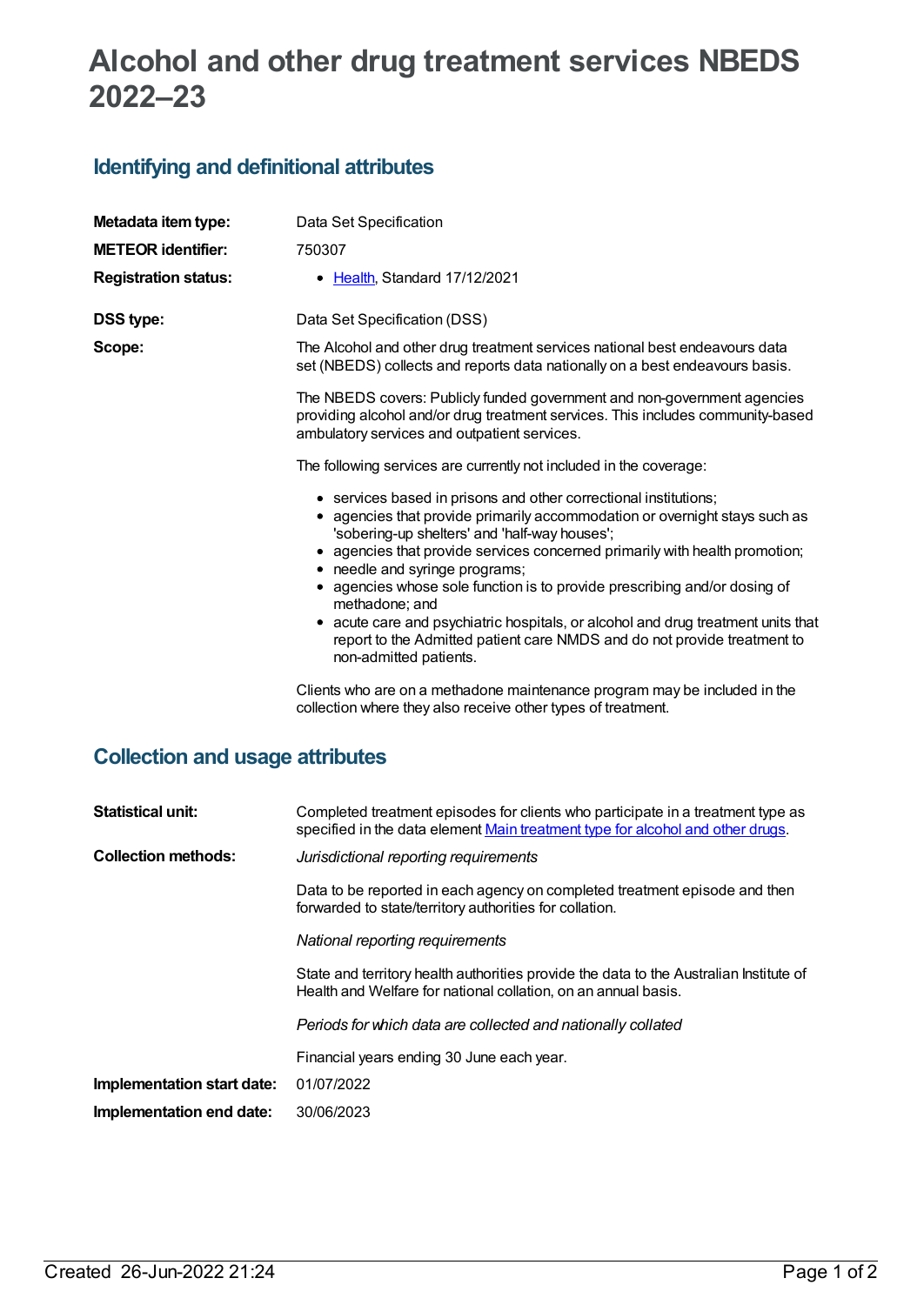# **Alcohol and other drug treatment services NBEDS 2022–23**

### **Identifying and definitional attributes**

| Metadata item type:                    | Data Set Specification                                                                                                                                                                                                                                                                                           |  |  |  |
|----------------------------------------|------------------------------------------------------------------------------------------------------------------------------------------------------------------------------------------------------------------------------------------------------------------------------------------------------------------|--|--|--|
| <b>METEOR identifier:</b>              | 750307                                                                                                                                                                                                                                                                                                           |  |  |  |
| <b>Registration status:</b>            | • Health, Standard 17/12/2021                                                                                                                                                                                                                                                                                    |  |  |  |
| <b>DSS type:</b>                       | Data Set Specification (DSS)                                                                                                                                                                                                                                                                                     |  |  |  |
| Scope:                                 | The Alcohol and other drug treatment services national best endeavours data<br>set (NBEDS) collects and reports data nationally on a best endeavours basis.                                                                                                                                                      |  |  |  |
|                                        | The NBEDS covers: Publicly funded government and non-government agencies<br>providing alcohol and/or drug treatment services. This includes community-based<br>ambulatory services and outpatient services.                                                                                                      |  |  |  |
|                                        | The following services are currently not included in the coverage:                                                                                                                                                                                                                                               |  |  |  |
|                                        | • services based in prisons and other correctional institutions;<br>• agencies that provide primarily accommodation or overnight stays such as<br>'sobering-up shelters' and 'half-way houses';<br>• agencies that provide services concerned primarily with health promotion;<br>• needle and syringe programs; |  |  |  |
|                                        | • agencies whose sole function is to provide prescribing and/or dosing of<br>methadone; and                                                                                                                                                                                                                      |  |  |  |
|                                        | • acute care and psychiatric hospitals, or alcohol and drug treatment units that<br>report to the Admitted patient care NMDS and do not provide treatment to<br>non-admitted patients.                                                                                                                           |  |  |  |
|                                        | Clients who are on a methadone maintenance program may be included in the<br>collection where they also receive other types of treatment.                                                                                                                                                                        |  |  |  |
| <b>Collection and usage attributes</b> |                                                                                                                                                                                                                                                                                                                  |  |  |  |

# **Statistical unit:** Completed treatment episodes for clients who participate in a treatment type as specified in the data element Main [treatment](file:///content/700925) type for alcohol and other drugs. **Collection methods:** *Jurisdictional reporting requirements* Data to be reported in each agency on completed treatment episode and then forwarded to state/territory authorities for collation. *National reporting requirements* State and territory health authorities provide the data to the Australian Institute of Health and Welfare for national collation, on an annual basis. *Periods for which data are collected and nationally collated* Financial years ending 30 June each year. **Implementation start date:** 01/07/2022

**Implementation end date:** 30/06/2023